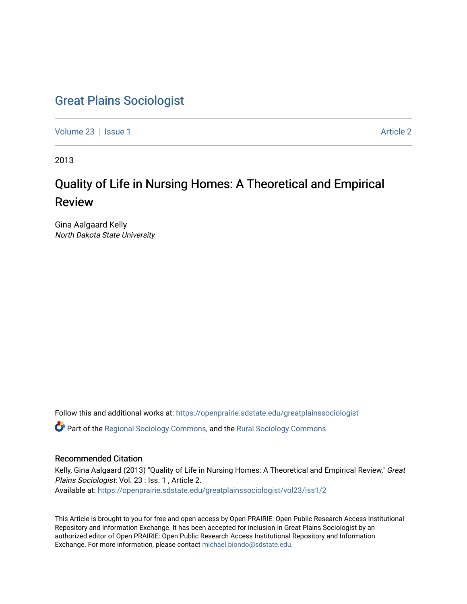# [Great Plains Sociologist](https://openprairie.sdstate.edu/greatplainssociologist)

[Volume 23](https://openprairie.sdstate.edu/greatplainssociologist/vol23) | [Issue 1](https://openprairie.sdstate.edu/greatplainssociologist/vol23/iss1) [Article 2](https://openprairie.sdstate.edu/greatplainssociologist/vol23/iss1/2) | Article 2 | Article 2 | Article 2 | Article 2 | Article 2 | Article 2 | Article 2

2013

# Quality of Life in Nursing Homes: A Theoretical and Empirical Review

Gina Aalgaard Kelly North Dakota State University

Follow this and additional works at: [https://openprairie.sdstate.edu/greatplainssociologist](https://openprairie.sdstate.edu/greatplainssociologist?utm_source=openprairie.sdstate.edu%2Fgreatplainssociologist%2Fvol23%2Fiss1%2F2&utm_medium=PDF&utm_campaign=PDFCoverPages) 

Part of the [Regional Sociology Commons](http://network.bepress.com/hgg/discipline/427?utm_source=openprairie.sdstate.edu%2Fgreatplainssociologist%2Fvol23%2Fiss1%2F2&utm_medium=PDF&utm_campaign=PDFCoverPages), and the [Rural Sociology Commons](http://network.bepress.com/hgg/discipline/428?utm_source=openprairie.sdstate.edu%2Fgreatplainssociologist%2Fvol23%2Fiss1%2F2&utm_medium=PDF&utm_campaign=PDFCoverPages) 

# Recommended Citation

Kelly, Gina Aalgaard (2013) "Quality of Life in Nursing Homes: A Theoretical and Empirical Review," Great Plains Sociologist: Vol. 23 : Iss. 1 , Article 2. Available at: [https://openprairie.sdstate.edu/greatplainssociologist/vol23/iss1/2](https://openprairie.sdstate.edu/greatplainssociologist/vol23/iss1/2?utm_source=openprairie.sdstate.edu%2Fgreatplainssociologist%2Fvol23%2Fiss1%2F2&utm_medium=PDF&utm_campaign=PDFCoverPages)

This Article is brought to you for free and open access by Open PRAIRIE: Open Public Research Access Institutional Repository and Information Exchange. It has been accepted for inclusion in Great Plains Sociologist by an authorized editor of Open PRAIRIE: Open Public Research Access Institutional Repository and Information Exchange. For more information, please contact [michael.biondo@sdstate.edu.](mailto:michael.biondo@sdstate.edu)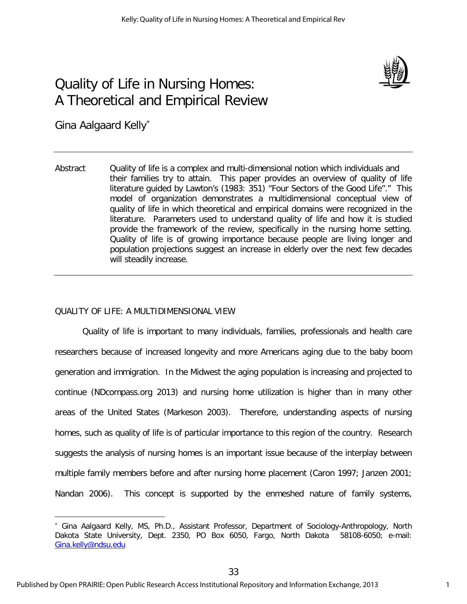

# Quality of Life in Nursing Homes: A Theoretical and Empirical Review

Gina Aalgaard Kelly<sup>\*</sup>

 $\overline{a}$ 

Abstract Quality of life is a complex and multi-dimensional notion which individuals and their families try to attain. This paper provides an overview of quality of life literature guided by Lawton's (1983: 351) "Four Sectors of the Good Life"." This model of organization demonstrates a multidimensional conceptual view of quality of life in which theoretical and empirical domains were recognized in the literature. Parameters used to understand quality of life and how it is studied provide the framework of the review, specifically in the nursing home setting. Quality of life is of growing importance because people are living longer and population projections suggest an increase in elderly over the next few decades will steadily increase.

# QUALITY OF LIFE: A MULTIDIMENSIONAL VIEW

Quality of life is important to many individuals, families, professionals and health care researchers because of increased longevity and more Americans aging due to the baby boom generation and immigration. In the Midwest the aging population is increasing and projected to continue (NDcompass.org 2013) and nursing home utilization is higher than in many other areas of the United States (Markeson 2003). Therefore, understanding aspects of nursing homes, such as quality of life is of particular importance to this region of the country. Research suggests the analysis of nursing homes is an important issue because of the interplay between multiple family members before and after nursing home placement (Caron 1997; Janzen 2001; Nandan 2006). This concept is supported by the enmeshed nature of family systems,

<sup>∗</sup> Gina Aalgaard Kelly, MS, Ph.D., Assistant Professor, Department of Sociology-Anthropology, North Dakota State University, Dept. 2350, PO Box 6050, Fargo, North Dakota 58108-6050; e-mail: [Gina.kelly@ndsu.edu](mailto:Gina.kelly@ndsu.edu)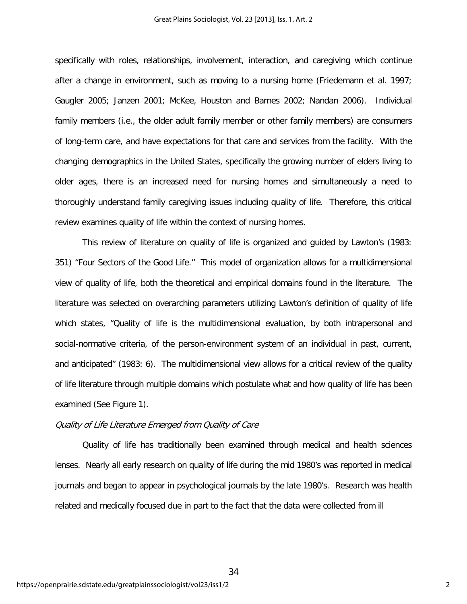specifically with roles, relationships, involvement, interaction, and caregiving which continue after a change in environment, such as moving to a nursing home (Friedemann et al. 1997; Gaugler 2005; Janzen 2001; McKee, Houston and Barnes 2002; Nandan 2006). Individual family members (i.e., the older adult family member or other family members) are consumers of long-term care, and have expectations for that care and services from the facility. With the changing demographics in the United States, specifically the growing number of elders living to older ages, there is an increased need for nursing homes and simultaneously a need to thoroughly understand family caregiving issues including quality of life. Therefore, this critical review examines quality of life within the context of nursing homes.

This review of literature on quality of life is organized and guided by Lawton's (1983: 351) "Four Sectors of the Good Life." This model of organization allows for a multidimensional view of quality of life, both the theoretical and empirical domains found in the literature. The literature was selected on overarching parameters utilizing Lawton's definition of quality of life which states, "Quality of life is the multidimensional evaluation, by both intrapersonal and social-normative criteria, of the person-environment system of an individual in past, current, and anticipated" (1983: 6). The multidimensional view allows for a critical review of the quality of life literature through multiple domains which postulate what and how quality of life has been examined (See Figure 1).

# Quality of Life Literature Emerged from Quality of Care

Quality of life has traditionally been examined through medical and health sciences lenses. Nearly all early research on quality of life during the mid 1980's was reported in medical journals and began to appear in psychological journals by the late 1980's. Research was health related and medically focused due in part to the fact that the data were collected from ill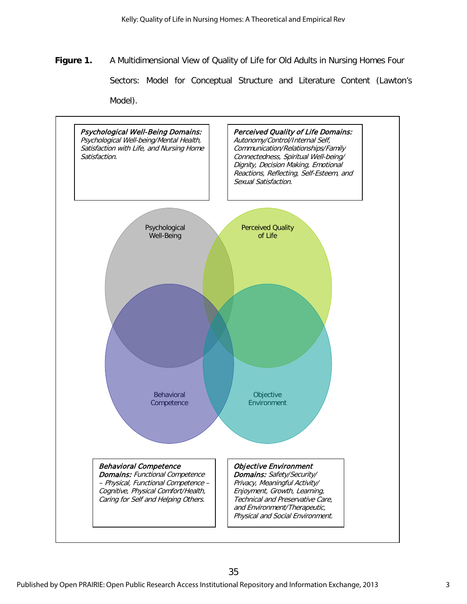**Figure 1.** A Multidimensional View of Quality of Life for Old Adults in Nursing Homes Four Sectors: Model for Conceptual Structure and Literature Content (Lawton's Model).

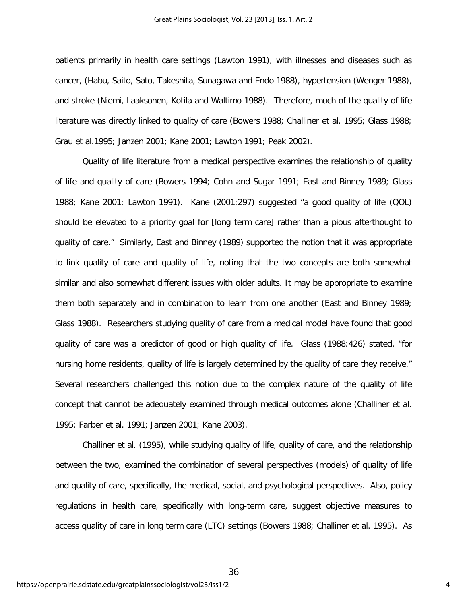Great Plains Sociologist, Vol. 23 [2013], Iss. 1, Art. 2

patients primarily in health care settings (Lawton 1991), with illnesses and diseases such as cancer, (Habu, Saito, Sato, Takeshita, Sunagawa and Endo 1988), hypertension (Wenger 1988), and stroke (Niemi, Laaksonen, Kotila and Waltimo 1988). Therefore, much of the quality of life literature was directly linked to quality of care (Bowers 1988; Challiner et al. 1995; Glass 1988; Grau et al.1995; Janzen 2001; Kane 2001; Lawton 1991; Peak 2002).

Quality of life literature from a medical perspective examines the relationship of quality of life and quality of care (Bowers 1994; Cohn and Sugar 1991; East and Binney 1989; Glass 1988; Kane 2001; Lawton 1991). Kane (2001:297) suggested "a good quality of life (QOL) should be elevated to a priority goal for [long term care] rather than a pious afterthought to quality of care." Similarly, East and Binney (1989) supported the notion that it was appropriate to link quality of care and quality of life, noting that the two concepts are both somewhat similar and also somewhat different issues with older adults. It may be appropriate to examine them both separately and in combination to learn from one another (East and Binney 1989; Glass 1988). Researchers studying quality of care from a medical model have found that good quality of care was a predictor of good or high quality of life. Glass (1988:426) stated, "for nursing home residents, quality of life is largely determined by the quality of care they receive." Several researchers challenged this notion due to the complex nature of the quality of life concept that cannot be adequately examined through medical outcomes alone (Challiner et al. 1995; Farber et al. 1991; Janzen 2001; Kane 2003).

Challiner et al. (1995), while studying quality of life, quality of care, and the relationship between the two, examined the combination of several perspectives (models) of quality of life and quality of care, specifically, the medical, social, and psychological perspectives. Also, policy regulations in health care, specifically with long-term care, suggest objective measures to access quality of care in long term care (LTC) settings (Bowers 1988; Challiner et al. 1995). As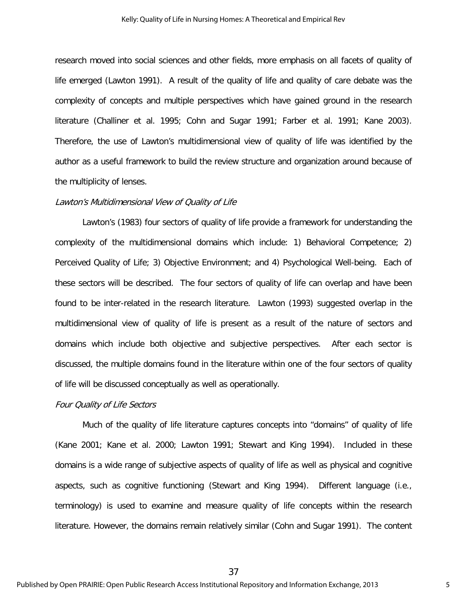research moved into social sciences and other fields, more emphasis on all facets of quality of life emerged (Lawton 1991). A result of the quality of life and quality of care debate was the complexity of concepts and multiple perspectives which have gained ground in the research literature (Challiner et al. 1995; Cohn and Sugar 1991; Farber et al. 1991; Kane 2003). Therefore, the use of Lawton's multidimensional view of quality of life was identified by the author as a useful framework to build the review structure and organization around because of the multiplicity of lenses.

#### Lawton's Multidimensional View of Quality of Life

Lawton's (1983) four sectors of quality of life provide a framework for understanding the complexity of the multidimensional domains which include: 1) Behavioral Competence; 2) Perceived Quality of Life; 3) Objective Environment; and 4) Psychological Well-being. Each of these sectors will be described. The four sectors of quality of life can overlap and have been found to be inter-related in the research literature. Lawton (1993) suggested overlap in the multidimensional view of quality of life is present as a result of the nature of sectors and domains which include both objective and subjective perspectives. After each sector is discussed, the multiple domains found in the literature within one of the four sectors of quality of life will be discussed conceptually as well as operationally.

#### Four Quality of Life Sectors

Much of the quality of life literature captures concepts into "domains" of quality of life (Kane 2001; Kane et al. 2000; Lawton 1991; Stewart and King 1994). Included in these domains is a wide range of subjective aspects of quality of life as well as physical and cognitive aspects, such as cognitive functioning (Stewart and King 1994). Different language (i.e., terminology) is used to examine and measure quality of life concepts within the research literature. However, the domains remain relatively similar (Cohn and Sugar 1991). The content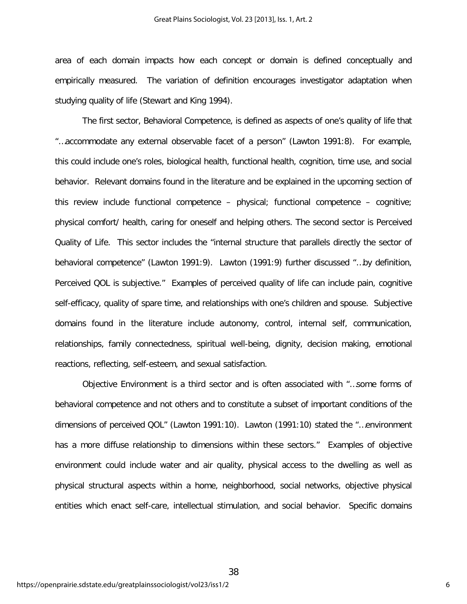area of each domain impacts how each concept or domain is defined conceptually and empirically measured. The variation of definition encourages investigator adaptation when studying quality of life (Stewart and King 1994).

The first sector, Behavioral Competence, is defined as aspects of one's quality of life that "…accommodate any external observable facet of a person" (Lawton 1991:8). For example, this could include one's roles, biological health, functional health, cognition, time use, and social behavior. Relevant domains found in the literature and be explained in the upcoming section of this review include functional competence – physical; functional competence – cognitive; physical comfort/ health, caring for oneself and helping others. The second sector is Perceived Quality of Life. This sector includes the "internal structure that parallels directly the sector of behavioral competence" (Lawton 1991:9). Lawton (1991:9) further discussed "…by definition, Perceived QOL is subjective." Examples of perceived quality of life can include pain, cognitive self-efficacy, quality of spare time, and relationships with one's children and spouse. Subjective domains found in the literature include autonomy, control, internal self, communication, relationships, family connectedness, spiritual well-being, dignity, decision making, emotional reactions, reflecting, self-esteem, and sexual satisfaction.

Objective Environment is a third sector and is often associated with "…some forms of behavioral competence and not others and to constitute a subset of important conditions of the dimensions of perceived QOL" (Lawton 1991:10). Lawton (1991:10) stated the "…environment has a more diffuse relationship to dimensions within these sectors." Examples of objective environment could include water and air quality, physical access to the dwelling as well as physical structural aspects within a home, neighborhood, social networks, objective physical entities which enact self-care, intellectual stimulation, and social behavior. Specific domains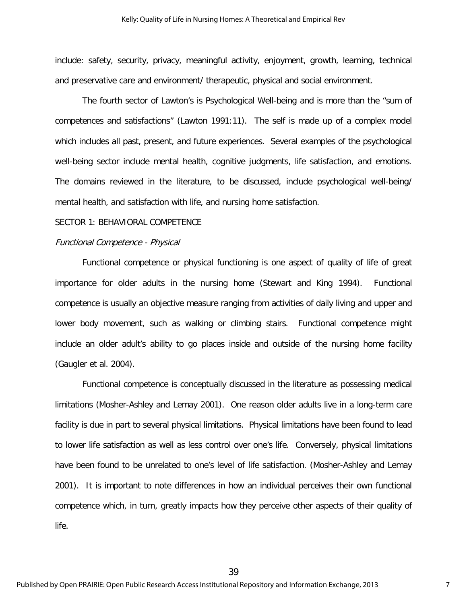include: safety, security, privacy, meaningful activity, enjoyment, growth, learning, technical and preservative care and environment/ therapeutic, physical and social environment.

The fourth sector of Lawton's is Psychological Well-being and is more than the "sum of competences and satisfactions" (Lawton 1991:11). The self is made up of a complex model which includes all past, present, and future experiences. Several examples of the psychological well-being sector include mental health, cognitive judgments, life satisfaction, and emotions. The domains reviewed in the literature, to be discussed, include psychological well-being/ mental health, and satisfaction with life, and nursing home satisfaction.

#### SECTOR 1: BEHAVIORAL COMPETENCE

#### Functional Competence - Physical

Functional competence or physical functioning is one aspect of quality of life of great importance for older adults in the nursing home (Stewart and King 1994). Functional competence is usually an objective measure ranging from activities of daily living and upper and lower body movement, such as walking or climbing stairs. Functional competence might include an older adult's ability to go places inside and outside of the nursing home facility (Gaugler et al. 2004).

Functional competence is conceptually discussed in the literature as possessing medical limitations (Mosher-Ashley and Lemay 2001). One reason older adults live in a long-term care facility is due in part to several physical limitations. Physical limitations have been found to lead to lower life satisfaction as well as less control over one's life. Conversely, physical limitations have been found to be unrelated to one's level of life satisfaction. (Mosher-Ashley and Lemay 2001). It is important to note differences in how an individual perceives their own functional competence which, in turn, greatly impacts how they perceive other aspects of their quality of life.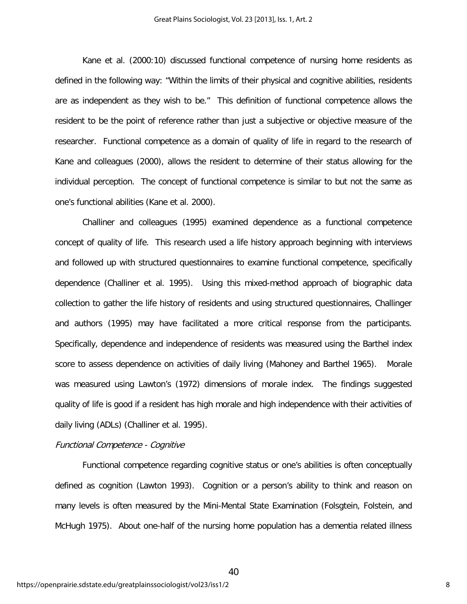Kane et al. (2000:10) discussed functional competence of nursing home residents as defined in the following way: "Within the limits of their physical and cognitive abilities, residents are as independent as they wish to be." This definition of functional competence allows the resident to be the point of reference rather than just a subjective or objective measure of the researcher. Functional competence as a domain of quality of life in regard to the research of Kane and colleagues (2000), allows the resident to determine of their status allowing for the individual perception. The concept of functional competence is similar to but not the same as one's functional abilities (Kane et al. 2000).

Challiner and colleagues (1995) examined dependence as a functional competence concept of quality of life. This research used a life history approach beginning with interviews and followed up with structured questionnaires to examine functional competence, specifically dependence (Challiner et al. 1995). Using this mixed-method approach of biographic data collection to gather the life history of residents and using structured questionnaires, Challinger and authors (1995) may have facilitated a more critical response from the participants. Specifically, dependence and independence of residents was measured using the Barthel index score to assess dependence on activities of daily living (Mahoney and Barthel 1965). Morale was measured using Lawton's (1972) dimensions of morale index. The findings suggested quality of life is good if a resident has high morale and high independence with their activities of daily living (ADLs) (Challiner et al. 1995).

#### Functional Competence - Cognitive

Functional competence regarding cognitive status or one's abilities is often conceptually defined as cognition (Lawton 1993). Cognition or a person's ability to think and reason on many levels is often measured by the Mini-Mental State Examination (Folsgtein, Folstein, and McHugh 1975). About one-half of the nursing home population has a dementia related illness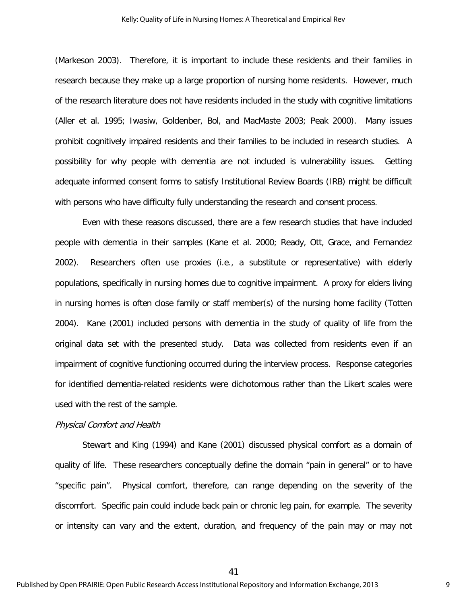#### Kelly: Quality of Life in Nursing Homes: A Theoretical and Empirical Rev

(Markeson 2003). Therefore, it is important to include these residents and their families in research because they make up a large proportion of nursing home residents. However, much of the research literature does not have residents included in the study with cognitive limitations (Aller et al. 1995; Iwasiw, Goldenber, Bol, and MacMaste 2003; Peak 2000). Many issues prohibit cognitively impaired residents and their families to be included in research studies. A possibility for why people with dementia are not included is vulnerability issues. Getting adequate informed consent forms to satisfy Institutional Review Boards (IRB) might be difficult with persons who have difficulty fully understanding the research and consent process.

Even with these reasons discussed, there are a few research studies that have included people with dementia in their samples (Kane et al. 2000; Ready, Ott, Grace, and Fernandez 2002). Researchers often use proxies (i.e., a substitute or representative) with elderly populations, specifically in nursing homes due to cognitive impairment. A proxy for elders living in nursing homes is often close family or staff member(s) of the nursing home facility (Totten 2004). Kane (2001) included persons with dementia in the study of quality of life from the original data set with the presented study. Data was collected from residents even if an impairment of cognitive functioning occurred during the interview process. Response categories for identified dementia-related residents were dichotomous rather than the Likert scales were used with the rest of the sample.

#### Physical Comfort and Health

Stewart and King (1994) and Kane (2001) discussed physical comfort as a domain of quality of life. These researchers conceptually define the domain "pain in general" or to have "specific pain". Physical comfort, therefore, can range depending on the severity of the discomfort. Specific pain could include back pain or chronic leg pain, for example. The severity or intensity can vary and the extent, duration, and frequency of the pain may or may not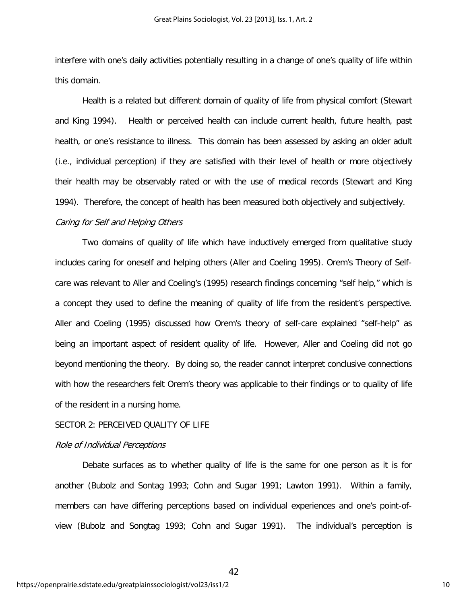interfere with one's daily activities potentially resulting in a change of one's quality of life within this domain.

Health is a related but different domain of quality of life from physical comfort (Stewart and King 1994). Health or perceived health can include current health, future health, past health, or one's resistance to illness. This domain has been assessed by asking an older adult (i.e., individual perception) if they are satisfied with their level of health or more objectively their health may be observably rated or with the use of medical records (Stewart and King 1994). Therefore, the concept of health has been measured both objectively and subjectively.

# Caring for Self and Helping Others

Two domains of quality of life which have inductively emerged from qualitative study includes caring for oneself and helping others (Aller and Coeling 1995). Orem's Theory of Selfcare was relevant to Aller and Coeling's (1995) research findings concerning "self help," which is a concept they used to define the meaning of quality of life from the resident's perspective. Aller and Coeling (1995) discussed how Orem's theory of self-care explained "self-help" as being an important aspect of resident quality of life. However, Aller and Coeling did not go beyond mentioning the theory. By doing so, the reader cannot interpret conclusive connections with how the researchers felt Orem's theory was applicable to their findings or to quality of life of the resident in a nursing home.

#### SECTOR 2: PERCEIVED QUALITY OF LIFE

#### Role of Individual Perceptions

Debate surfaces as to whether quality of life is the same for one person as it is for another (Bubolz and Sontag 1993; Cohn and Sugar 1991; Lawton 1991). Within a family, members can have differing perceptions based on individual experiences and one's point-ofview (Bubolz and Songtag 1993; Cohn and Sugar 1991). The individual's perception is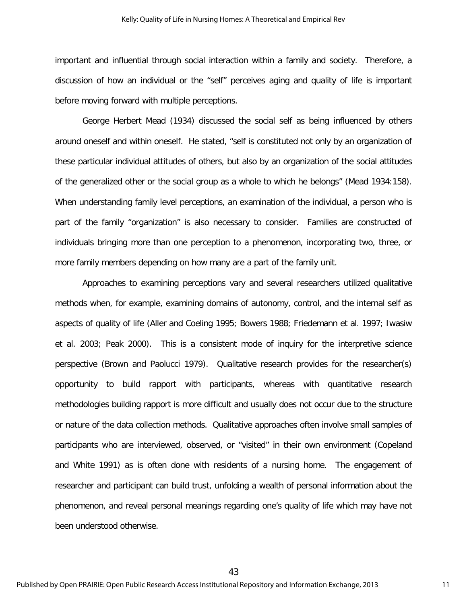important and influential through social interaction within a family and society. Therefore, a discussion of how an individual or the "self" perceives aging and quality of life is important before moving forward with multiple perceptions.

George Herbert Mead (1934) discussed the social self as being influenced by others around oneself and within oneself. He stated, "self is constituted not only by an organization of these particular individual attitudes of others, but also by an organization of the social attitudes of the generalized other or the social group as a whole to which he belongs" (Mead 1934:158). When understanding family level perceptions, an examination of the individual, a person who is part of the family "organization" is also necessary to consider. Families are constructed of individuals bringing more than one perception to a phenomenon, incorporating two, three, or more family members depending on how many are a part of the family unit.

Approaches to examining perceptions vary and several researchers utilized qualitative methods when, for example, examining domains of autonomy, control, and the internal self as aspects of quality of life (Aller and Coeling 1995; Bowers 1988; Friedemann et al. 1997; Iwasiw et al. 2003; Peak 2000). This is a consistent mode of inquiry for the interpretive science perspective (Brown and Paolucci 1979). Qualitative research provides for the researcher(s) opportunity to build rapport with participants, whereas with quantitative research methodologies building rapport is more difficult and usually does not occur due to the structure or nature of the data collection methods. Qualitative approaches often involve small samples of participants who are interviewed, observed, or "visited" in their own environment (Copeland and White 1991) as is often done with residents of a nursing home. The engagement of researcher and participant can build trust, unfolding a wealth of personal information about the phenomenon, and reveal personal meanings regarding one's quality of life which may have not been understood otherwise.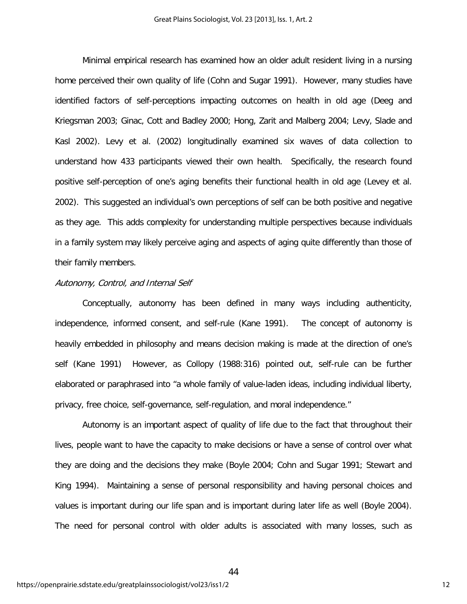Minimal empirical research has examined how an older adult resident living in a nursing home perceived their own quality of life (Cohn and Sugar 1991). However, many studies have identified factors of self-perceptions impacting outcomes on health in old age (Deeg and Kriegsman 2003; Ginac, Cott and Badley 2000; Hong, Zarit and Malberg 2004; Levy, Slade and Kasl 2002). Levy et al. (2002) longitudinally examined six waves of data collection to understand how 433 participants viewed their own health. Specifically, the research found positive self-perception of one's aging benefits their functional health in old age (Levey et al. 2002). This suggested an individual's own perceptions of self can be both positive and negative as they age. This adds complexity for understanding multiple perspectives because individuals in a family system may likely perceive aging and aspects of aging quite differently than those of their family members.

#### Autonomy, Control, and Internal Self

Conceptually, autonomy has been defined in many ways including authenticity, independence, informed consent, and self-rule (Kane 1991). The concept of autonomy is heavily embedded in philosophy and means decision making is made at the direction of one's self (Kane 1991) However, as Collopy (1988:316) pointed out, self-rule can be further elaborated or paraphrased into "a whole family of value-laden ideas, including individual liberty, privacy, free choice, self-governance, self-regulation, and moral independence."

Autonomy is an important aspect of quality of life due to the fact that throughout their lives, people want to have the capacity to make decisions or have a sense of control over what they are doing and the decisions they make (Boyle 2004; Cohn and Sugar 1991; Stewart and King 1994). Maintaining a sense of personal responsibility and having personal choices and values is important during our life span and is important during later life as well (Boyle 2004). The need for personal control with older adults is associated with many losses, such as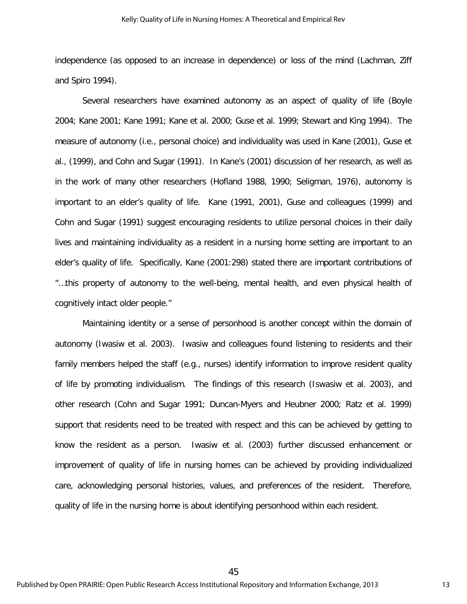independence (as opposed to an increase in dependence) or loss of the mind (Lachman, Ziff and Spiro 1994).

Several researchers have examined autonomy as an aspect of quality of life (Boyle 2004; Kane 2001; Kane 1991; Kane et al. 2000; Guse et al. 1999; Stewart and King 1994). The measure of autonomy (i.e., personal choice) and individuality was used in Kane (2001), Guse et al., (1999), and Cohn and Sugar (1991). In Kane's (2001) discussion of her research, as well as in the work of many other researchers (Hofland 1988, 1990; Seligman, 1976), autonomy is important to an elder's quality of life. Kane (1991, 2001), Guse and colleagues (1999) and Cohn and Sugar (1991) suggest encouraging residents to utilize personal choices in their daily lives and maintaining individuality as a resident in a nursing home setting are important to an elder's quality of life. Specifically, Kane (2001:298) stated there are important contributions of "…this property of autonomy to the well-being, mental health, and even physical health of cognitively intact older people."

Maintaining identity or a sense of personhood is another concept within the domain of autonomy (Iwasiw et al. 2003). Iwasiw and colleagues found listening to residents and their family members helped the staff (e.g., nurses) identify information to improve resident quality of life by promoting individualism. The findings of this research (Iswasiw et al. 2003), and other research (Cohn and Sugar 1991; Duncan-Myers and Heubner 2000; Ratz et al. 1999) support that residents need to be treated with respect and this can be achieved by getting to know the resident as a person. Iwasiw et al. (2003) further discussed enhancement or improvement of quality of life in nursing homes can be achieved by providing individualized care, acknowledging personal histories, values, and preferences of the resident. Therefore, quality of life in the nursing home is about identifying personhood within each resident.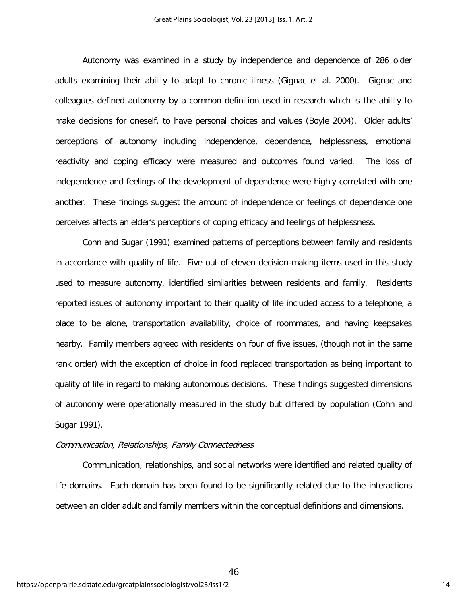Autonomy was examined in a study by independence and dependence of 286 older adults examining their ability to adapt to chronic illness (Gignac et al. 2000). Gignac and colleagues defined autonomy by a common definition used in research which is the ability to make decisions for oneself, to have personal choices and values (Boyle 2004). Older adults' perceptions of autonomy including independence, dependence, helplessness, emotional reactivity and coping efficacy were measured and outcomes found varied. The loss of independence and feelings of the development of dependence were highly correlated with one another. These findings suggest the amount of independence or feelings of dependence one perceives affects an elder's perceptions of coping efficacy and feelings of helplessness.

Cohn and Sugar (1991) examined patterns of perceptions between family and residents in accordance with quality of life. Five out of eleven decision-making items used in this study used to measure autonomy, identified similarities between residents and family. Residents reported issues of autonomy important to their quality of life included access to a telephone, a place to be alone, transportation availability, choice of roommates, and having keepsakes nearby. Family members agreed with residents on four of five issues, (though not in the same rank order) with the exception of choice in food replaced transportation as being important to quality of life in regard to making autonomous decisions. These findings suggested dimensions of autonomy were operationally measured in the study but differed by population (Cohn and Sugar 1991).

#### Communication, Relationships, Family Connectedness

Communication, relationships, and social networks were identified and related quality of life domains. Each domain has been found to be significantly related due to the interactions between an older adult and family members within the conceptual definitions and dimensions.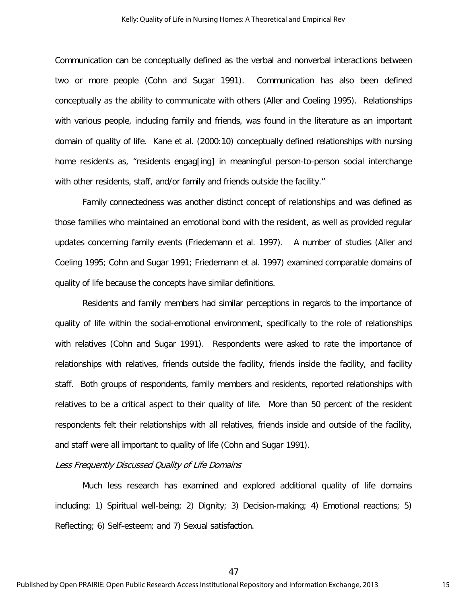Communication can be conceptually defined as the verbal and nonverbal interactions between two or more people (Cohn and Sugar 1991). Communication has also been defined conceptually as the ability to communicate with others (Aller and Coeling 1995). Relationships with various people, including family and friends, was found in the literature as an important domain of quality of life. Kane et al. (2000:10) conceptually defined relationships with nursing home residents as, "residents engag[ing] in meaningful person-to-person social interchange with other residents, staff, and/or family and friends outside the facility."

Family connectedness was another distinct concept of relationships and was defined as those families who maintained an emotional bond with the resident, as well as provided regular updates concerning family events (Friedemann et al. 1997). A number of studies (Aller and Coeling 1995; Cohn and Sugar 1991; Friedemann et al. 1997) examined comparable domains of quality of life because the concepts have similar definitions.

Residents and family members had similar perceptions in regards to the importance of quality of life within the social-emotional environment, specifically to the role of relationships with relatives (Cohn and Sugar 1991). Respondents were asked to rate the importance of relationships with relatives, friends outside the facility, friends inside the facility, and facility staff. Both groups of respondents, family members and residents, reported relationships with relatives to be a critical aspect to their quality of life. More than 50 percent of the resident respondents felt their relationships with all relatives, friends inside and outside of the facility, and staff were all important to quality of life (Cohn and Sugar 1991).

#### Less Frequently Discussed Quality of Life Domains

Much less research has examined and explored additional quality of life domains including: 1) Spiritual well-being; 2) Dignity; 3) Decision-making; 4) Emotional reactions; 5) Reflecting; 6) Self-esteem; and 7) Sexual satisfaction.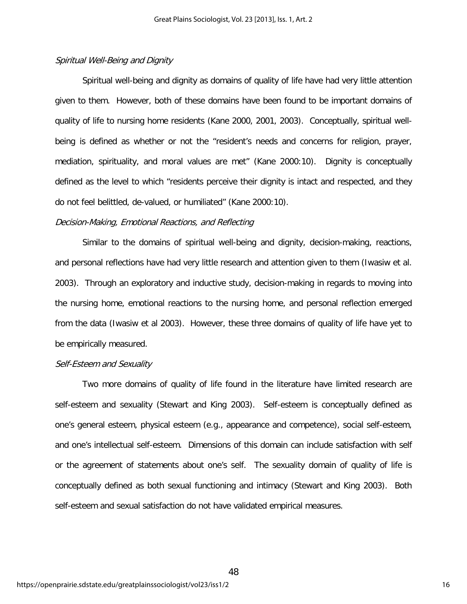# Spiritual Well-Being and Dignity

Spiritual well-being and dignity as domains of quality of life have had very little attention given to them. However, both of these domains have been found to be important domains of quality of life to nursing home residents (Kane 2000, 2001, 2003). Conceptually, spiritual wellbeing is defined as whether or not the "resident's needs and concerns for religion, prayer, mediation, spirituality, and moral values are met" (Kane 2000:10). Dignity is conceptually defined as the level to which "residents perceive their dignity is intact and respected, and they do not feel belittled, de-valued, or humiliated" (Kane 2000:10).

# Decision-Making, Emotional Reactions, and Reflecting

Similar to the domains of spiritual well-being and dignity, decision-making, reactions, and personal reflections have had very little research and attention given to them (Iwasiw et al. 2003). Through an exploratory and inductive study, decision-making in regards to moving into the nursing home, emotional reactions to the nursing home, and personal reflection emerged from the data (Iwasiw et al 2003). However, these three domains of quality of life have yet to be empirically measured.

# Self-Esteem and Sexuality

Two more domains of quality of life found in the literature have limited research are self-esteem and sexuality (Stewart and King 2003). Self-esteem is conceptually defined as one's general esteem, physical esteem (e.g., appearance and competence), social self-esteem, and one's intellectual self-esteem. Dimensions of this domain can include satisfaction with self or the agreement of statements about one's self. The sexuality domain of quality of life is conceptually defined as both sexual functioning and intimacy (Stewart and King 2003). Both self-esteem and sexual satisfaction do not have validated empirical measures.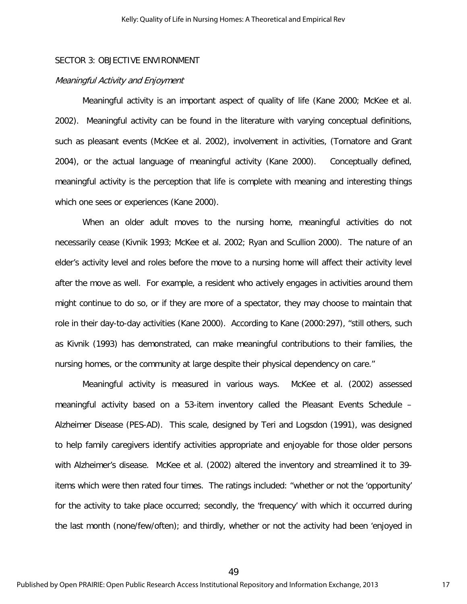# SECTOR 3: OBJECTIVE ENVIRONMENT

#### Meaningful Activity and Enjoyment

Meaningful activity is an important aspect of quality of life (Kane 2000; McKee et al. 2002). Meaningful activity can be found in the literature with varying conceptual definitions, such as pleasant events (McKee et al. 2002), involvement in activities, (Tornatore and Grant 2004), or the actual language of meaningful activity (Kane 2000). Conceptually defined, meaningful activity is the perception that life is complete with meaning and interesting things which one sees or experiences (Kane 2000).

When an older adult moves to the nursing home, meaningful activities do not necessarily cease (Kivnik 1993; McKee et al. 2002; Ryan and Scullion 2000). The nature of an elder's activity level and roles before the move to a nursing home will affect their activity level after the move as well. For example, a resident who actively engages in activities around them might continue to do so, or if they are more of a spectator, they may choose to maintain that role in their day-to-day activities (Kane 2000). According to Kane (2000:297), "still others, such as Kivnik (1993) has demonstrated, can make meaningful contributions to their families, the nursing homes, or the community at large despite their physical dependency on care."

Meaningful activity is measured in various ways. McKee et al. (2002) assessed meaningful activity based on a 53-item inventory called the Pleasant Events Schedule – Alzheimer Disease (PES-AD). This scale, designed by Teri and Logsdon (1991), was designed to help family caregivers identify activities appropriate and enjoyable for those older persons with Alzheimer's disease. McKee et al. (2002) altered the inventory and streamlined it to 39 items which were then rated four times. The ratings included: "whether or not the 'opportunity' for the activity to take place occurred; secondly, the 'frequency' with which it occurred during the last month (none/few/often); and thirdly, whether or not the activity had been 'enjoyed in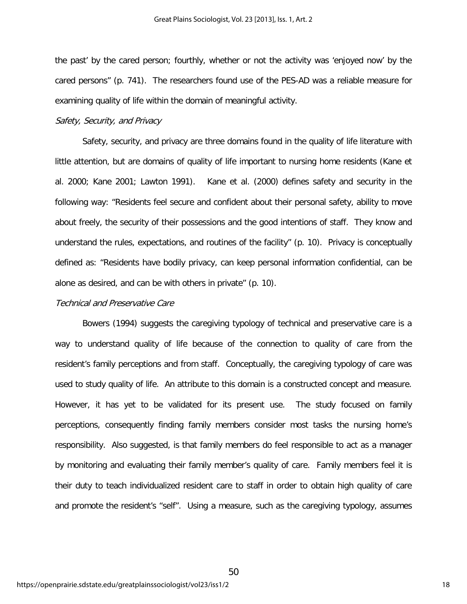the past' by the cared person; fourthly, whether or not the activity was 'enjoyed now' by the cared persons" (p. 741). The researchers found use of the PES-AD was a reliable measure for examining quality of life within the domain of meaningful activity.

# Safety, Security, and Privacy

Safety, security, and privacy are three domains found in the quality of life literature with little attention, but are domains of quality of life important to nursing home residents (Kane et al. 2000; Kane 2001; Lawton 1991). Kane et al. (2000) defines safety and security in the following way: "Residents feel secure and confident about their personal safety, ability to move about freely, the security of their possessions and the good intentions of staff. They know and understand the rules, expectations, and routines of the facility" (p. 10). Privacy is conceptually defined as: "Residents have bodily privacy, can keep personal information confidential, can be alone as desired, and can be with others in private" (p. 10).

# Technical and Preservative Care

Bowers (1994) suggests the caregiving typology of technical and preservative care is a way to understand quality of life because of the connection to quality of care from the resident's family perceptions and from staff. Conceptually, the caregiving typology of care was used to study quality of life. An attribute to this domain is a constructed concept and measure. However, it has yet to be validated for its present use. The study focused on family perceptions, consequently finding family members consider most tasks the nursing home's responsibility. Also suggested, is that family members do feel responsible to act as a manager by monitoring and evaluating their family member's quality of care. Family members feel it is their duty to teach individualized resident care to staff in order to obtain high quality of care and promote the resident's "self". Using a measure, such as the caregiving typology, assumes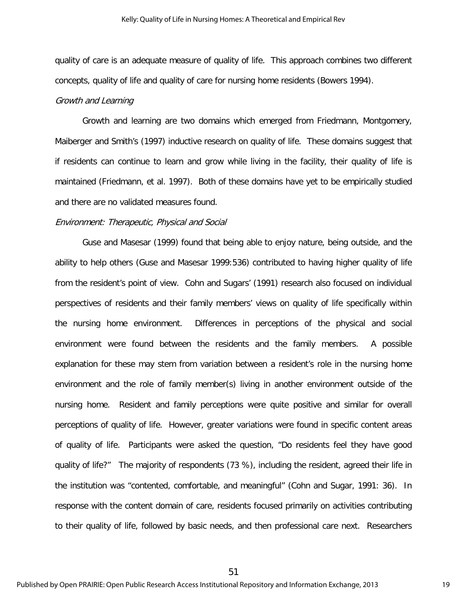quality of care is an adequate measure of quality of life. This approach combines two different concepts, quality of life and quality of care for nursing home residents (Bowers 1994).

#### Growth and Learning

Growth and learning are two domains which emerged from Friedmann, Montgomery, Maiberger and Smith's (1997) inductive research on quality of life. These domains suggest that if residents can continue to learn and grow while living in the facility, their quality of life is maintained (Friedmann, et al. 1997). Both of these domains have yet to be empirically studied and there are no validated measures found.

### Environment: Therapeutic, Physical and Social

Guse and Masesar (1999) found that being able to enjoy nature, being outside, and the ability to help others (Guse and Masesar 1999:536) contributed to having higher quality of life from the resident's point of view. Cohn and Sugars' (1991) research also focused on individual perspectives of residents and their family members' views on quality of life specifically within the nursing home environment. Differences in perceptions of the physical and social environment were found between the residents and the family members. A possible explanation for these may stem from variation between a resident's role in the nursing home environment and the role of family member(s) living in another environment outside of the nursing home. Resident and family perceptions were quite positive and similar for overall perceptions of quality of life. However, greater variations were found in specific content areas of quality of life. Participants were asked the question, "Do residents feel they have good quality of life?" The majority of respondents (73 %), including the resident, agreed their life in the institution was "contented, comfortable, and meaningful" (Cohn and Sugar, 1991: 36). In response with the content domain of care, residents focused primarily on activities contributing to their quality of life, followed by basic needs, and then professional care next. Researchers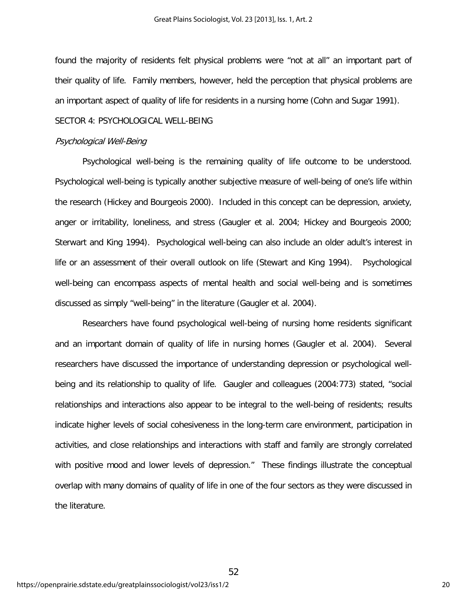found the majority of residents felt physical problems were "not at all" an important part of their quality of life. Family members, however, held the perception that physical problems are an important aspect of quality of life for residents in a nursing home (Cohn and Sugar 1991).

# SECTOR 4: PSYCHOLOGICAL WELL-BEING

#### Psychological Well-Being

Psychological well-being is the remaining quality of life outcome to be understood. Psychological well-being is typically another subjective measure of well-being of one's life within the research (Hickey and Bourgeois 2000). Included in this concept can be depression, anxiety, anger or irritability, loneliness, and stress (Gaugler et al. 2004; Hickey and Bourgeois 2000; Sterwart and King 1994). Psychological well-being can also include an older adult's interest in life or an assessment of their overall outlook on life (Stewart and King 1994). Psychological well-being can encompass aspects of mental health and social well-being and is sometimes discussed as simply "well-being" in the literature (Gaugler et al. 2004).

Researchers have found psychological well-being of nursing home residents significant and an important domain of quality of life in nursing homes (Gaugler et al. 2004). Several researchers have discussed the importance of understanding depression or psychological wellbeing and its relationship to quality of life. Gaugler and colleagues (2004:773) stated, "social relationships and interactions also appear to be integral to the well-being of residents; results indicate higher levels of social cohesiveness in the long-term care environment, participation in activities, and close relationships and interactions with staff and family are strongly correlated with positive mood and lower levels of depression." These findings illustrate the conceptual overlap with many domains of quality of life in one of the four sectors as they were discussed in the literature.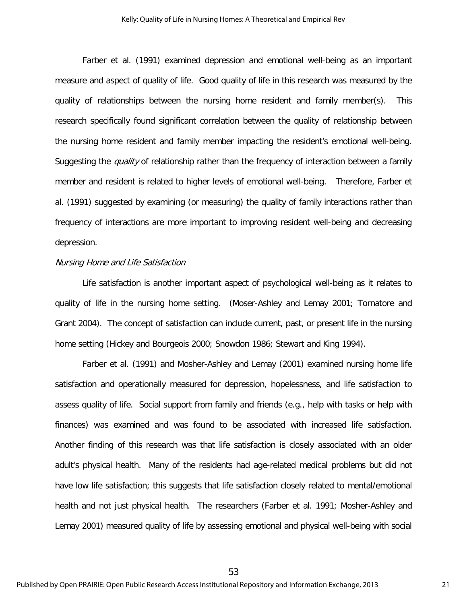Farber et al. (1991) examined depression and emotional well-being as an important measure and aspect of quality of life. Good quality of life in this research was measured by the quality of relationships between the nursing home resident and family member(s). This research specifically found significant correlation between the quality of relationship between the nursing home resident and family member impacting the resident's emotional well-being. Suggesting the *quality* of relationship rather than the frequency of interaction between a family member and resident is related to higher levels of emotional well-being. Therefore, Farber et al. (1991) suggested by examining (or measuring) the quality of family interactions rather than frequency of interactions are more important to improving resident well-being and decreasing depression.

#### Nursing Home and Life Satisfaction

Life satisfaction is another important aspect of psychological well-being as it relates to quality of life in the nursing home setting. (Moser-Ashley and Lemay 2001; Tornatore and Grant 2004). The concept of satisfaction can include current, past, or present life in the nursing home setting (Hickey and Bourgeois 2000; Snowdon 1986; Stewart and King 1994).

Farber et al. (1991) and Mosher-Ashley and Lemay (2001) examined nursing home life satisfaction and operationally measured for depression, hopelessness, and life satisfaction to assess quality of life. Social support from family and friends (e.g., help with tasks or help with finances) was examined and was found to be associated with increased life satisfaction. Another finding of this research was that life satisfaction is closely associated with an older adult's physical health. Many of the residents had age-related medical problems but did not have low life satisfaction; this suggests that life satisfaction closely related to mental/emotional health and not just physical health. The researchers (Farber et al. 1991; Mosher-Ashley and Lemay 2001) measured quality of life by assessing emotional and physical well-being with social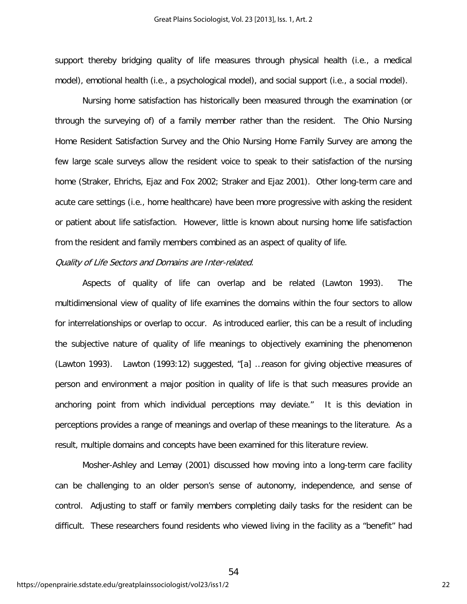support thereby bridging quality of life measures through physical health (i.e., a medical model), emotional health (i.e., a psychological model), and social support (i.e., a social model).

Nursing home satisfaction has historically been measured through the examination (or through the surveying of) of a family member rather than the resident. The Ohio Nursing Home Resident Satisfaction Survey and the Ohio Nursing Home Family Survey are among the few large scale surveys allow the resident voice to speak to their satisfaction of the nursing home (Straker, Ehrichs, Ejaz and Fox 2002; Straker and Ejaz 2001). Other long-term care and acute care settings (i.e., home healthcare) have been more progressive with asking the resident or patient about life satisfaction. However, little is known about nursing home life satisfaction from the resident and family members combined as an aspect of quality of life.

# Quality of Life Sectors and Domains are Inter-related.

Aspects of quality of life can overlap and be related (Lawton 1993). The multidimensional view of quality of life examines the domains within the four sectors to allow for interrelationships or overlap to occur. As introduced earlier, this can be a result of including the subjective nature of quality of life meanings to objectively examining the phenomenon (Lawton 1993). Lawton (1993:12) suggested, "[a] …reason for giving objective measures of person and environment a major position in quality of life is that such measures provide an anchoring point from which individual perceptions may deviate." It is this deviation in perceptions provides a range of meanings and overlap of these meanings to the literature. As a result, multiple domains and concepts have been examined for this literature review.

Mosher-Ashley and Lemay (2001) discussed how moving into a long-term care facility can be challenging to an older person's sense of autonomy, independence, and sense of control. Adjusting to staff or family members completing daily tasks for the resident can be difficult. These researchers found residents who viewed living in the facility as a "benefit" had

54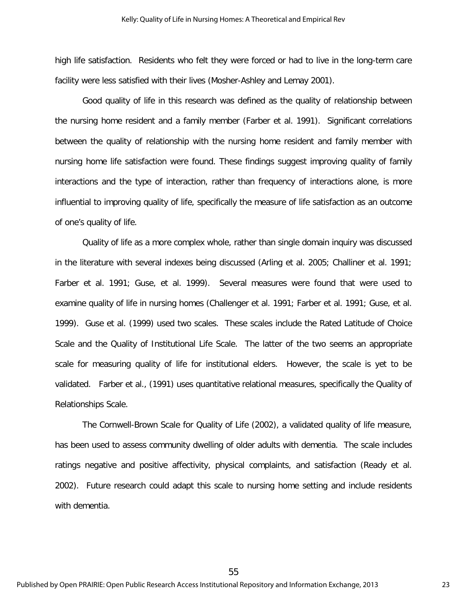high life satisfaction. Residents who felt they were forced or had to live in the long-term care facility were less satisfied with their lives (Mosher-Ashley and Lemay 2001).

Good quality of life in this research was defined as the quality of relationship between the nursing home resident and a family member (Farber et al. 1991). Significant correlations between the quality of relationship with the nursing home resident and family member with nursing home life satisfaction were found. These findings suggest improving quality of family interactions and the type of interaction, rather than frequency of interactions alone, is more influential to improving quality of life, specifically the measure of life satisfaction as an outcome of one's quality of life.

Quality of life as a more complex whole, rather than single domain inquiry was discussed in the literature with several indexes being discussed (Arling et al. 2005; Challiner et al. 1991; Farber et al. 1991; Guse, et al. 1999). Several measures were found that were used to examine quality of life in nursing homes (Challenger et al. 1991; Farber et al. 1991; Guse, et al. 1999). Guse et al. (1999) used two scales. These scales include the Rated Latitude of Choice Scale and the Quality of Institutional Life Scale. The latter of the two seems an appropriate scale for measuring quality of life for institutional elders. However, the scale is yet to be validated. Farber et al., (1991) uses quantitative relational measures, specifically the Quality of Relationships Scale.

 The Cornwell-Brown Scale for Quality of Life (2002), a validated quality of life measure, has been used to assess community dwelling of older adults with dementia. The scale includes ratings negative and positive affectivity, physical complaints, and satisfaction (Ready et al. 2002). Future research could adapt this scale to nursing home setting and include residents with dementia.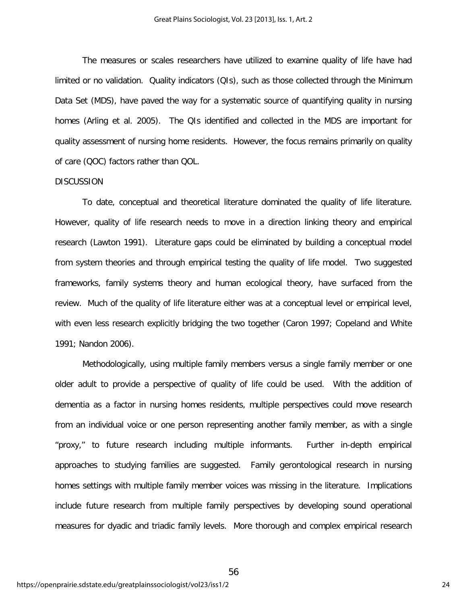The measures or scales researchers have utilized to examine quality of life have had limited or no validation. Quality indicators (QIs), such as those collected through the Minimum Data Set (MDS), have paved the way for a systematic source of quantifying quality in nursing homes (Arling et al. 2005). The QIs identified and collected in the MDS are important for quality assessment of nursing home residents. However, the focus remains primarily on quality of care (QOC) factors rather than QOL.

#### **DISCUSSION**

To date, conceptual and theoretical literature dominated the quality of life literature. However, quality of life research needs to move in a direction linking theory and empirical research (Lawton 1991). Literature gaps could be eliminated by building a conceptual model from system theories and through empirical testing the quality of life model. Two suggested frameworks, family systems theory and human ecological theory, have surfaced from the review. Much of the quality of life literature either was at a conceptual level or empirical level, with even less research explicitly bridging the two together (Caron 1997; Copeland and White 1991; Nandon 2006).

Methodologically, using multiple family members versus a single family member or one older adult to provide a perspective of quality of life could be used. With the addition of dementia as a factor in nursing homes residents, multiple perspectives could move research from an individual voice or one person representing another family member, as with a single "proxy," to future research including multiple informants. Further in-depth empirical approaches to studying families are suggested. Family gerontological research in nursing homes settings with multiple family member voices was missing in the literature. Implications include future research from multiple family perspectives by developing sound operational measures for dyadic and triadic family levels. More thorough and complex empirical research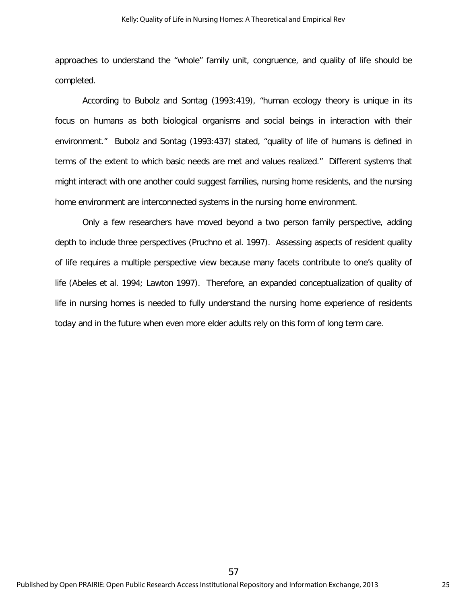approaches to understand the "whole" family unit, congruence, and quality of life should be completed.

According to Bubolz and Sontag (1993:419), "human ecology theory is unique in its focus on humans as both biological organisms and social beings in interaction with their environment." Bubolz and Sontag (1993:437) stated, "quality of life of humans is defined in terms of the extent to which basic needs are met and values realized." Different systems that might interact with one another could suggest families, nursing home residents, and the nursing home environment are interconnected systems in the nursing home environment.

Only a few researchers have moved beyond a two person family perspective, adding depth to include three perspectives (Pruchno et al. 1997). Assessing aspects of resident quality of life requires a multiple perspective view because many facets contribute to one's quality of life (Abeles et al. 1994; Lawton 1997). Therefore, an expanded conceptualization of quality of life in nursing homes is needed to fully understand the nursing home experience of residents today and in the future when even more elder adults rely on this form of long term care.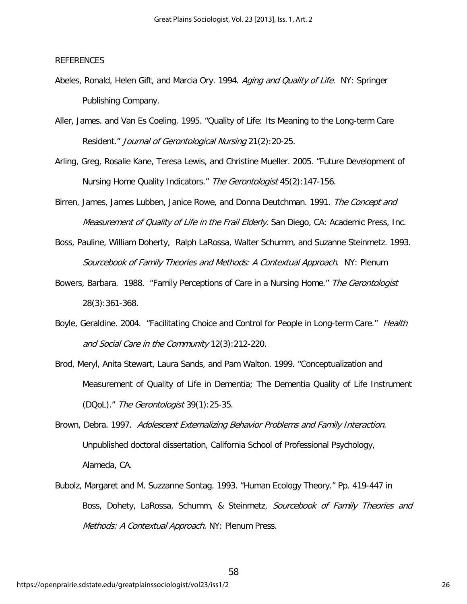# REFERENCES

- Abeles, Ronald, Helen Gift, and Marcia Ory. 1994. Aging and Quality of Life. NY: Springer Publishing Company.
- Aller, James. and Van Es Coeling. 1995. "Quality of Life: Its Meaning to the Long-term Care Resident." Journal of Gerontological Nursing 21(2):20-25.
- Arling, Greg, Rosalie Kane, Teresa Lewis, and Christine Mueller. 2005. "Future Development of Nursing Home Quality Indicators." The Gerontologist 45(2):147-156.
- Birren, James, James Lubben, Janice Rowe, and Donna Deutchman. 1991. The Concept and Measurement of Quality of Life in the Frail Elderly. San Diego, CA: Academic Press, Inc.
- Boss, Pauline, William Doherty, Ralph LaRossa, Walter Schumm, and Suzanne Steinmetz. 1993. Sourcebook of Family Theories and Methods: A Contextual Approach. NY: Plenum
- Bowers, Barbara. 1988. "Family Perceptions of Care in a Nursing Home." The Gerontologist 28(3):361-368.
- Boyle, Geraldine. 2004. "Facilitating Choice and Control for People in Long-term Care." Health and Social Care in the Community 12(3):212-220.
- Brod, Meryl, Anita Stewart, Laura Sands, and Pam Walton. 1999. "Conceptualization and Measurement of Quality of Life in Dementia; The Dementia Quality of Life Instrument (DQoL)." The Gerontologist 39(1):25-35.
- Brown, Debra. 1997. Adolescent Externalizing Behavior Problems and Family Interaction. Unpublished doctoral dissertation, California School of Professional Psychology, Alameda, CA.
- Bubolz, Margaret and M. Suzzanne Sontag. 1993. "Human Ecology Theory." Pp. 419-447 in Boss, Dohety, LaRossa, Schumm, & Steinmetz, Sourcebook of Family Theories and Methods: A Contextual Approach. NY: Plenum Press.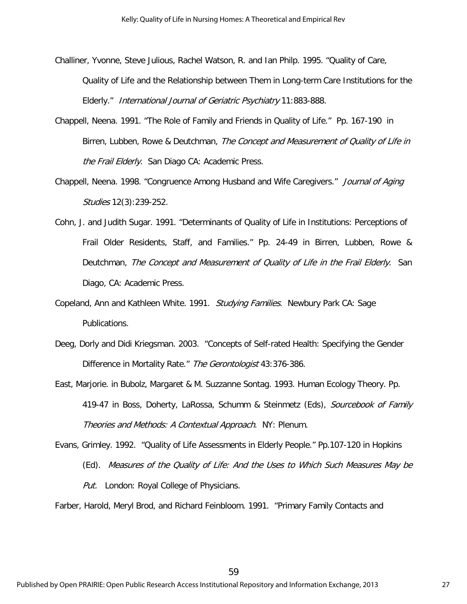- Challiner, Yvonne, Steve Julious, Rachel Watson, R. and Ian Philp. 1995. "Quality of Care, Quality of Life and the Relationship between Them in Long-term Care Institutions for the Elderly." International Journal of Geriatric Psychiatry 11:883-888.
- Chappell, Neena. 1991. "The Role of Family and Friends in Quality of Life." Pp. 167-190 in Birren, Lubben, Rowe & Deutchman, The Concept and Measurement of Quality of Life in the Frail Elderly. San Diago CA: Academic Press.
- Chappell, Neena. 1998. "Congruence Among Husband and Wife Caregivers." Journal of Aging Studies 12(3):239-252.
- Cohn, J. and Judith Sugar. 1991. "Determinants of Quality of Life in Institutions: Perceptions of Frail Older Residents, Staff, and Families." Pp. 24-49 in Birren, Lubben, Rowe & Deutchman, The Concept and Measurement of Quality of Life in the Frail Elderly. San Diago, CA: Academic Press.
- Copeland, Ann and Kathleen White. 1991. *Studying Families*. Newbury Park CA: Sage Publications.
- Deeg, Dorly and Didi Kriegsman. 2003. "Concepts of Self-rated Health: Specifying the Gender Difference in Mortality Rate." The Gerontologist 43:376-386.
- East, Marjorie. in Bubolz, Margaret & M. Suzzanne Sontag. 1993. Human Ecology Theory. Pp. 419-47 in Boss, Doherty, LaRossa, Schumm & Steinmetz (Eds), Sourcebook of Family Theories and Methods: A Contextual Approach. NY: Plenum.

Evans, Grimley. 1992. "Quality of Life Assessments in Elderly People." Pp.107-120 in Hopkins (Ed). Measures of the Quality of Life: And the Uses to Which Such Measures May be Put. London: Royal College of Physicians.

Farber, Harold, Meryl Brod, and Richard Feinbloom. 1991. "Primary Family Contacts and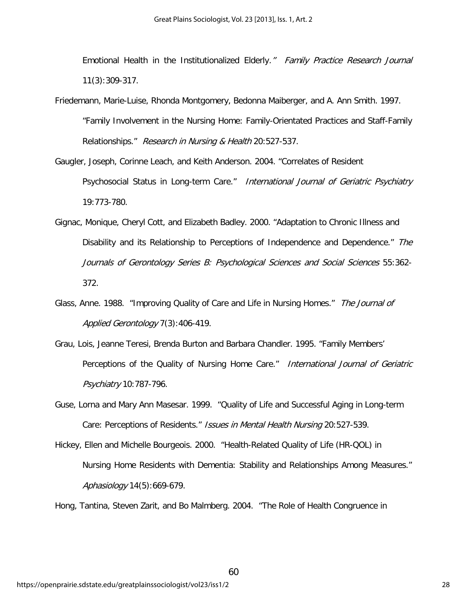Emotional Health in the Institutionalized Elderly." Family Practice Research Journal 11(3):309-317.

- Friedemann, Marie-Luise, Rhonda Montgomery, Bedonna Maiberger, and A. Ann Smith. 1997. "Family Involvement in the Nursing Home: Family-Orientated Practices and Staff-Family Relationships." Research in Nursing & Health 20:527-537.
- Gaugler, Joseph, Corinne Leach, and Keith Anderson. 2004. "Correlates of Resident Psychosocial Status in Long-term Care." International Journal of Geriatric Psychiatry 19:773-780.
- Gignac, Monique, Cheryl Cott, and Elizabeth Badley. 2000. "Adaptation to Chronic Illness and Disability and its Relationship to Perceptions of Independence and Dependence." The Journals of Gerontology Series B: Psychological Sciences and Social Sciences 55:362- 372.
- Glass, Anne. 1988. "Improving Quality of Care and Life in Nursing Homes." The Journal of Applied Gerontology 7(3):406-419.
- Grau, Lois, Jeanne Teresi, Brenda Burton and Barbara Chandler. 1995. "Family Members' Perceptions of the Quality of Nursing Home Care." International Journal of Geriatric Psychiatry 10:787-796.
- Guse, Lorna and Mary Ann Masesar. 1999. "Quality of Life and Successful Aging in Long-term Care: Perceptions of Residents." Issues in Mental Health Nursing 20:527-539.
- Hickey, Ellen and Michelle Bourgeois. 2000. "Health-Related Quality of Life (HR-QOL) in Nursing Home Residents with Dementia: Stability and Relationships Among Measures." Aphasiology 14(5):669-679.

60

Hong, Tantina, Steven Zarit, and Bo Malmberg. 2004. "The Role of Health Congruence in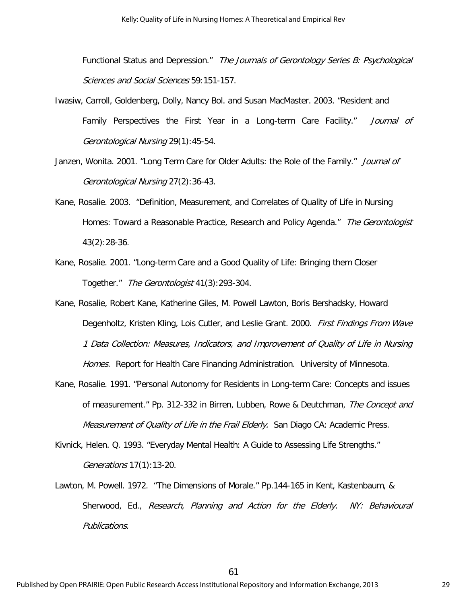Functional Status and Depression." The Journals of Gerontology Series B: Psychological Sciences and Social Sciences 59:151-157.

- Iwasiw, Carroll, Goldenberg, Dolly, Nancy Bol. and Susan MacMaster. 2003. "Resident and Family Perspectives the First Year in a Long-term Care Facility." Journal of Gerontological Nursing 29(1):45-54.
- Janzen, Wonita. 2001. "Long Term Care for Older Adults: the Role of the Family." *Journal of* Gerontological Nursing 27(2):36-43.
- Kane, Rosalie. 2003. "Definition, Measurement, and Correlates of Quality of Life in Nursing Homes: Toward a Reasonable Practice, Research and Policy Agenda." The Gerontologist 43(2):28-36.
- Kane, Rosalie. 2001. "Long-term Care and a Good Quality of Life: Bringing them Closer Together." The Gerontologist 41(3):293-304.
- Kane, Rosalie, Robert Kane, Katherine Giles, M. Powell Lawton, Boris Bershadsky, Howard Degenholtz, Kristen Kling, Lois Cutler, and Leslie Grant. 2000. First Findings From Wave 1 Data Collection: Measures, Indicators, and Improvement of Quality of Life in Nursing Homes. Report for Health Care Financing Administration. University of Minnesota.
- Kane, Rosalie. 1991. "Personal Autonomy for Residents in Long-term Care: Concepts and issues of measurement." Pp. 312-332 in Birren, Lubben, Rowe & Deutchman, The Concept and Measurement of Quality of Life in the Frail Elderly. San Diago CA: Academic Press.
- Kivnick, Helen. Q. 1993. "Everyday Mental Health: A Guide to Assessing Life Strengths." Generations 17(1):13-20.
- Lawton, M. Powell. 1972. "The Dimensions of Morale." Pp.144-165 in Kent, Kastenbaum, & Sherwood, Ed., Research, Planning and Action for the Elderly. NY: Behavioural Publications.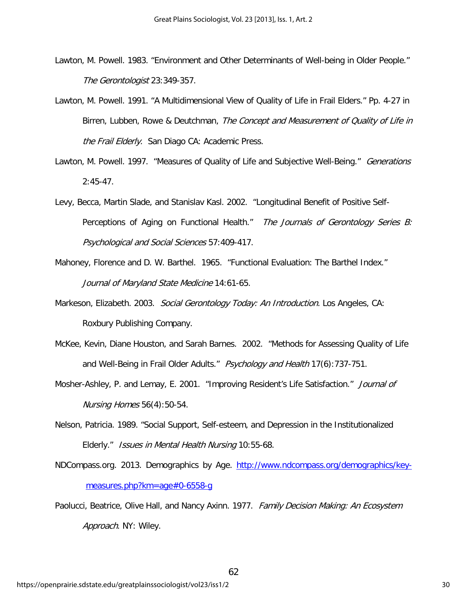- Lawton, M. Powell. 1983. "Environment and Other Determinants of Well-being in Older People." The Gerontologist 23:349-357.
- Lawton, M. Powell. 1991. "A Multidimensional View of Quality of Life in Frail Elders." Pp. 4-27 in Birren, Lubben, Rowe & Deutchman, The Concept and Measurement of Quality of Life in the Frail Elderly. San Diago CA: Academic Press.
- Lawton, M. Powell. 1997. "Measures of Quality of Life and Subjective Well-Being." Generations 2:45-47.
- Levy, Becca, Martin Slade, and Stanislav Kasl. 2002. "Longitudinal Benefit of Positive Self-Perceptions of Aging on Functional Health." The Journals of Gerontology Series B: Psychological and Social Sciences 57:409-417.
- Mahoney, Florence and D. W. Barthel. 1965. "Functional Evaluation: The Barthel Index." Journal of Maryland State Medicine 14:61-65.
- Markeson, Elizabeth. 2003. Social Gerontology Today: An Introduction. Los Angeles, CA: Roxbury Publishing Company.
- McKee, Kevin, Diane Houston, and Sarah Barnes. 2002. "Methods for Assessing Quality of Life and Well-Being in Frail Older Adults." Psychology and Health 17(6):737-751.
- Mosher-Ashley, P. and Lemay, E. 2001. "Improving Resident's Life Satisfaction." Journal of Nursing Homes 56(4):50-54.
- Nelson, Patricia. 1989. "Social Support, Self-esteem, and Depression in the Institutionalized Elderly." Issues in Mental Health Nursing 10:55-68.
- NDCompass.org. 2013. Demographics by Age. [http://www.ndcompass.org/demographics/key](http://www.ndcompass.org/demographics/key-measures.php?km=age#0-6558-g)[measures.php?km=age#0-6558-g](http://www.ndcompass.org/demographics/key-measures.php?km=age#0-6558-g)
- Paolucci, Beatrice, Olive Hall, and Nancy Axinn. 1977. Family Decision Making: An Ecosystem Approach. NY: Wiley.